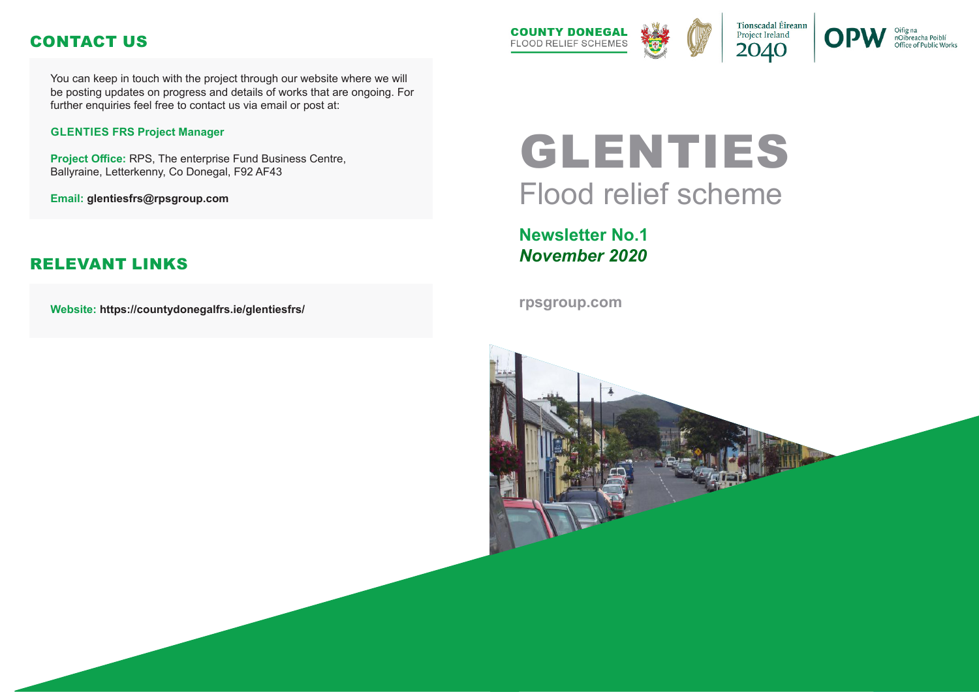# GLENTIES Flood relief scheme

**Newsletter No.1** *November 2020*

**rpsgroup.com**





nOibreacha Poiblí Office of Public Works



You can keep in touch with the project through our website where we will be posting updates on progress and details of works that are ongoing. For further enquiries feel free to contact us via email or post at:

#### **GLENTIES FRS Project Manager**

**Project Office:** RPS, The enterprise Fund Business Centre, Ballyraine, Letterkenny, Co Donegal, F92 AF43

**Email: glentiesfrs@rpsgroup.com**

**Website: https://countydonegalfrs.ie/glentiesfrs/**



## CONTACT US

#### RELEVANT LINKS